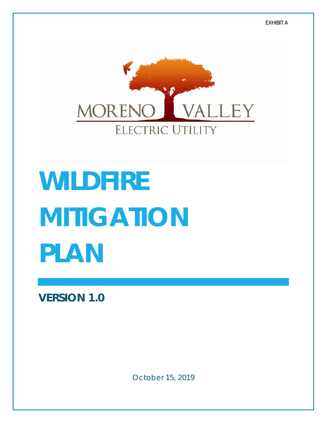EXHIBIT A



# **WILDFIRE MITIGATION PLAN**

**VERSION 1.0**

*October 15, 2019*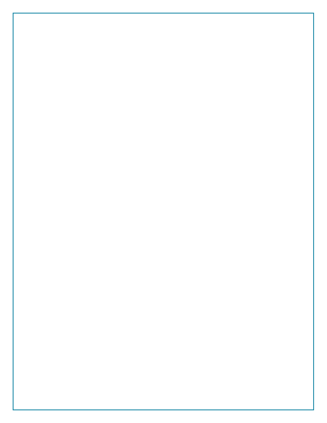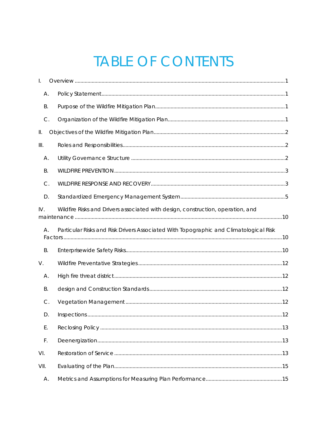# TABLE OF CONTENTS

| T.                           |           |                                                                                       |  |
|------------------------------|-----------|---------------------------------------------------------------------------------------|--|
|                              | А.        |                                                                                       |  |
| Β.                           |           |                                                                                       |  |
|                              | $C$ .     |                                                                                       |  |
| Ш.                           |           |                                                                                       |  |
| $\mathop{\rm III}\nolimits.$ |           |                                                                                       |  |
|                              | Α.        |                                                                                       |  |
| Β.                           |           |                                                                                       |  |
|                              | $C$ .     |                                                                                       |  |
|                              | D.        |                                                                                       |  |
| IV.                          |           | Wildfire Risks and Drivers associated with design, construction, operation, and       |  |
|                              | А.        | Particular Risks and Risk Drivers Associated With Topographic and Climatological Risk |  |
|                              | <b>B.</b> |                                                                                       |  |
| V.                           |           |                                                                                       |  |
|                              | А.        |                                                                                       |  |
| Β.                           |           |                                                                                       |  |
|                              | C.        |                                                                                       |  |
|                              | D.        |                                                                                       |  |
| Ε.                           |           |                                                                                       |  |
| F.                           |           |                                                                                       |  |
| VI.                          |           |                                                                                       |  |
| VII.                         |           |                                                                                       |  |
|                              | Α.        |                                                                                       |  |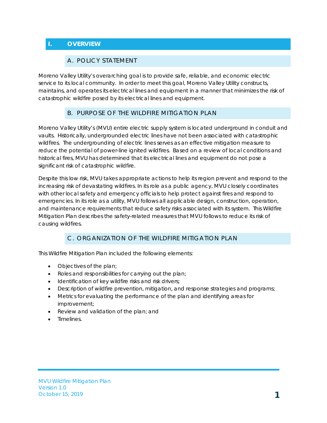# <span id="page-4-1"></span><span id="page-4-0"></span>**I. OVERVIEW**

#### A. POLICY STATEMENT

Moreno Valley Utility's overarching goal is to provide safe, reliable, and economic electric service to its local community. In order to meet this goal, Moreno Valley Utility constructs, maintains, and operates its electrical lines and equipment in a manner that minimizes the risk of catastrophic wildfire posed by its electrical lines and equipment.

# B. PURPOSE OF THE WILDFIRE MITIGATION PLAN.

<span id="page-4-2"></span>Moreno Valley Utility's (MVU) entire electric supply system is located underground in conduit and vaults. Historically, undergrounded electric lines have not been associated with catastrophic wildfires. The undergrounding of electric lines serves as an effective mitigation measure to reduce the potential of power-line ignited wildfires. Based on a review of local conditions and historical fires, MVU has determined that its electrical lines and equipment do not pose a significant risk of catastrophic wildfire.

Despite this low risk, MVU takes appropriate actions to help its region prevent and respond to the increasing risk of devastating wildfires. In its role as a public agency, MVU closely coordinates with other local safety and emergency officials to help protect against fires and respond to emergencies. In its role as a utility, MVU follows all applicable design, construction, operation, and maintenance requirements that reduce safety risks associated with its system. This Wildfire Mitigation Plan describes the safety-related measures that MVU follows to reduce its risk of causing wildfires.

# C. ORGANIZATION OF THE WILDFIRE MITIGATION PLAN

<span id="page-4-3"></span>This Wildfire Mitigation Plan included the following elements:

- Objectives of the plan;
- Roles and responsibilities for carrying out the plan;
- Identification of key wildfire risks and risk drivers;
- Description of wildfire prevention, mitigation, and response strategies and programs;
- Metrics for evaluating the performance of the plan and identifying areas for improvement;
- Review and validation of the plan; and
- Timelines.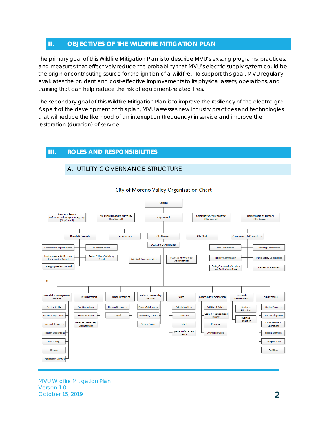#### <span id="page-5-0"></span>**II. OBJECTIVES OF THE WILDFIRE MITIGATION PLAN**

The primary goal of this Wildfire Mitigation Plan is to describe MVU's existing programs, practices, and measures that effectively reduce the probability that MVU's electric supply system could be the origin or contributing source for the ignition of a wildfire. To support this goal, MVU regularly evaluates the prudent and cost-effective improvements to its physical assets, operations, and training that can help reduce the risk of equipment-related fires.

The secondary goal of this Wildfire Mitigation Plan is to improve the resiliency of the electric grid. As part of the development of this plan, MVU assesses new industry practices and technologies that will reduce the likelihood of an interruption (frequency) in service and improve the restoration (duration) of service.

#### <span id="page-5-2"></span><span id="page-5-1"></span>**III. ROLES AND RESPONSIBILITIES**

#### A. UTILITY GOVERNANCE STRUCTURE



#### City of Moreno Valley Organization Chart

MVU Wildfire Mitigation Plan Version 1.0 October 15, 2019 **2**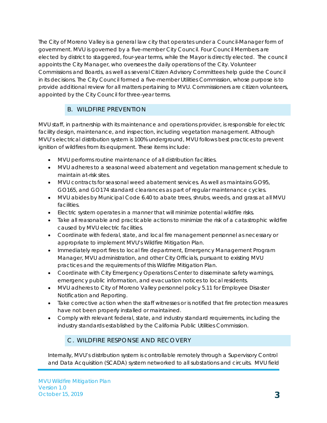The City of Moreno Valley is a general law city that operates under a Council-Manager form of government. MVU is governed by a five-member City Council. Four Council Members are elected by district to staggered, four-year terms, while the Mayor is directly elected. The council appoints the City Manager, who oversees the daily operations of the City. Volunteer Commissions and Boards, as well as several Citizen Advisory Committees help guide the Council in its decisions. The City Council formed a five-member Utilities Commission, whose purpose is to provide additional review for all matters pertaining to MVU. Commissioners are citizen volunteers, appointed by the City Council for three-year terms.

# B. WILDFIRE PREVENTION

<span id="page-6-0"></span>MVU staff, in partnership with its maintenance and operations provider, is responsible for electric facility design, maintenance, and inspection, including vegetation management. Although MVU's electrical distribution system is 100% underground, MVU follows best practices to prevent ignition of wildfires from its equipment. These items include:

- MVU performs routine maintenance of all distribution facilities.
- MVU adheres to a seasonal weed abatement and vegetation management schedule to maintain at-risk sites.
- MVU contracts for seasonal weed abatement services. As well as maintains GO95, GO165, and GO174 standard clearances as part of regular maintenance cycles.
- MVU abides by Municipal Code 6.40 to abate trees, shrubs, weeds, and grass at all MVU facilities.
- Electric system operates in a manner that will minimize potential wildfire risks.
- Take all reasonable and practicable actions to minimize the risk of a catastrophic wildfire caused by MVU electric facilities.
- Coordinate with federal, state, and local fire management personnel as necessary or appropriate to implement MVU's Wildfire Mitigation Plan.
- Immediately report fires to local fire department, Emergency Management Program Manager, MVU administration, and other City Officials, pursuant to existing MVU practices and the requirements of this Wildfire Mitigation Plan.
- Coordinate with City Emergency Operations Center to disseminate safety warnings, emergency public information, and evacuation notices to local residents.
- MVU adheres to City of Moreno Valley personnel policy 5.11 for Employee Disaster Notification and Reporting.
- Take corrective action when the staff witnesses or is notified that fire protection measures have not been properly installed or maintained.
- Comply with relevant federal, state, and industry standard requirements, including the industry standards established by the California Public Utilities Commission.

# C. WILDFIRE RESPONSE AND RECOVERY

<span id="page-6-1"></span>Internally, MVU's distribution system is controllable remotely through a Supervisory Control and Data Acquisition (SCADA) system networked to all substations and circuits. MVU field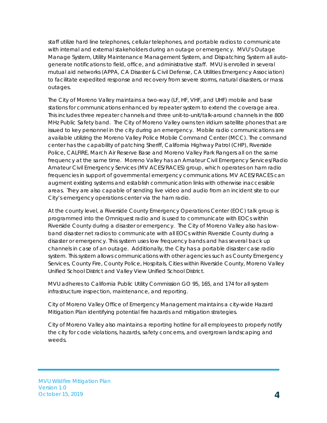staff utilize hard line telephones, cellular telephones, and portable radios to communicate with internal and external stakeholders during an outage or emergency. MVU's Outage Manage System, Utility Maintenance Management System, and Dispatching System all autogenerate notifications to field, office, and administrative staff. MVU is enrolled in several mutual aid networks (APPA, CA Disaster & Civil Defense, CA Utilities Emergency Association) to facilitate expedited response and recovery from severe storms, natural disasters, or mass outages.

The City of Moreno Valley maintains a two-way (LF, HF, VHF, and UHF) mobile and base stations for communications enhanced by repeater system to extend the coverage area. This includes three repeater channels and three unit-to-unit/talk-around channels in the 800 MHz Public Safety band. The City of Moreno Valley owns ten iridium satellite phones that are issued to key personnel in the city during an emergency. Mobile radio communications are available utilizing the Moreno Valley Police Mobile Command Center (MCC). The command center has the capability of patching Sheriff, California Highway Patrol (CHP), Riverside Police, CALFIRE, March Air Reserve Base and Moreno Valley Park Rangers all on the same frequency at the same time. Moreno Valley has an Amateur Civil Emergency Services/Radio Amateur Civil Emergency Services (MV ACES/RACES) group, which operates on ham radio frequencies in support of governmental emergency communications. MV ACES/RACES can augment existing systems and establish communication links with otherwise inaccessible areas. They are also capable of sending live video and audio from an incident site to our City's emergency operations center via the ham radio.

At the county level, a Riverside County Emergency Operations Center (EOC) talk group is programmed into the Omniquest radio and is used to communicate with EOCs within Riverside County during a disaster or emergency. The City of Moreno Valley also has lowband disaster net radios to communicate with all EOCs within Riverside County during a disaster or emergency. This system uses low frequency bands and has several back up channels in case of an outage. Additionally, the City has a portable disaster case radio system. This system allows communications with other agencies such as County Emergency Services, County Fire, County Police, Hospitals, Cities within Riverside County, Moreno Valley Unified School District and Valley View Unified School District.

MVU adheres to California Public Utility Commission GO 95, 165, and 174 for all system infrastructure inspection, maintenance, and reporting.

City of Moreno Valley Office of Emergency Management maintains a city-wide Hazard Mitigation Plan identifying potential fire hazards and mitigation strategies.

City of Moreno Valley also maintains a reporting hotline for all employees to properly notify the city for code violations, hazards, safety concerns, and overgrown landscaping and weeds.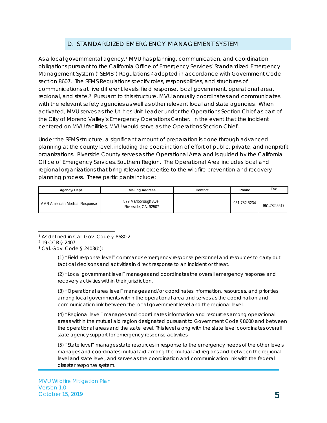# D. STANDARDIZED EMERGENCY MANAGEMENT SYSTEM

<span id="page-8-0"></span>As a local governmental agency,<sup>[1](#page-8-1)</sup> MVU has planning, communication, and coordination obligations pursuant to the California Office of Emergency Services' Standardized Emergency Management System ("SEMS") Regulations,[2](#page-8-2) adopted in accordance with Government Code section 8607. The SEMS Regulations specify roles, responsibilities, and structures of communications at five different levels: field response, local government, operational area, regional, and state.[3](#page-8-3) Pursuant to this structure, MVU annually coordinates and communicates with the relevant safety agencies as well as other relevant local and state agencies. When activated, MVU serves as the Utilities Unit Leader under the Operations Section Chief as part of the City of Moreno Valley's Emergency Operations Center. In the event that the incident centered on MVU facilities, MVU would serve as the Operations Section Chief.

Under the SEMS structure, a significant amount of preparation is done through advanced planning at the county level, including the coordination of effort of public, private, and nonprofit organizations. Riverside County serves as the Operational Area and is guided by the California Office of Emergency Services, Southern Region. The Operational Area includes local and regional organizations that bring relevant expertise to the wildfire prevention and recovery planning process. These participants include:

| Agency/Dept.                  | <b>Mailing Address</b>                       | Contact | Phone        | Fax          |
|-------------------------------|----------------------------------------------|---------|--------------|--------------|
| AMR American Medical Response | 879 Marlborough Ave.<br>Riverside, CA, 92507 |         | 951.782.5234 | 951.782.5617 |

<span id="page-8-1"></span> <sup>1</sup> As defined in Cal. Gov. Code § 8680.2.

(1) "Field response level" commands emergency response personnel and resources to carry out tactical decisions and activities in direct response to an incident or threat.

(2) "Local government level" manages and coordinates the overall emergency response and recovery activities within their jurisdiction.

(3) "Operational area level" manages and/or coordinates information, resources, and priorities among local governments within the operational area and serves as the coordination and communication link between the local government level and the regional level.

(4) "Regional level" manages and coordinates information and resources among operational areas within the mutual aid region designated pursuant to Government Code §8600 and between the operational areas and the state level. This level along with the state level coordinates overall state agency support for emergency response activities.

(5) "State level" manages state resources in response to the emergency needs of the other levels, manages and coordinates mutual aid among the mutual aid regions and between the regional level and state level, and serves as the coordination and communication link with the federal disaster response system.

<span id="page-8-2"></span><sup>2</sup> 19 CCR § 2407.

<span id="page-8-3"></span><sup>3</sup> Cal. Gov. Code § 2403(b):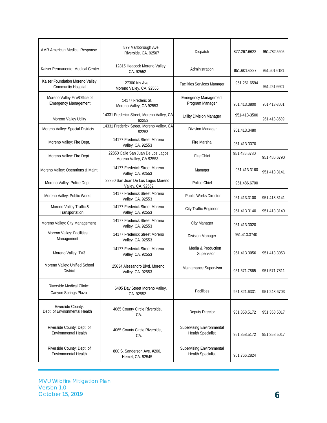| <b>AMR American Medical Response</b>                          | 879 Marlborough Ave.<br>Riverside, CA. 92507                 | Dispatch                                              | 877.267.6622 | 951.782.5605 |
|---------------------------------------------------------------|--------------------------------------------------------------|-------------------------------------------------------|--------------|--------------|
| Kaiser Permanente: Medical Center                             | 12815 Heacock Moreno Valley,<br>CA. 92552                    | Administration                                        | 951.601.6327 | 951.601.6181 |
| Kaiser Foundation Moreno Valley:<br><b>Community Hospital</b> | 27300 Iris Ave.<br>Moreno Valley, CA. 92555                  | <b>Facilities Services Manager</b>                    | 951.251.6594 | 951.251.6601 |
| Moreno Valley Fire/Office of<br><b>Emergency Management</b>   | 14177 Frederic St.<br>Moreno Valley, CA 92553                | <b>Emergency Management</b><br>Program Manager        | 951.413.3800 | 951-413-3801 |
| Moreno Valley Utility                                         | 14331 Frederick Street, Moreno Valley, CA<br>92253           | <b>Utility Division Manager</b>                       | 951-413-3500 | 951-413-3589 |
| Moreno Valley: Special Districts                              | 14331 Frederick Street, Moreno Valley, CA<br>92253           | <b>Division Manager</b>                               | 951.413.3480 |              |
| Moreno Valley: Fire Dept.                                     | 14177 Frederick Street Moreno<br>Valley, CA. 92553           | <b>Fire Marshal</b>                                   | 951.413.3370 |              |
| Moreno Valley: Fire Dept.                                     | 22850 Calle San Juan De Los Lagos<br>Moreno Valley, CA 92553 | Fire Chief                                            | 951.486.6780 | 951.486.6790 |
| Moreno Valley: Operations & Maint.                            | 14177 Frederick Street Moreno<br>Valley, CA. 92553           | Manager                                               | 951.413.3160 | 951.413.3141 |
| Moreno Valley: Police Dept.                                   | 22850 San Juan De Los Lagos Moreno<br>Valley, CA. 92552      | Police Chief                                          | 951.486.6700 |              |
| Moreno Valley: Public Works                                   | 14177 Frederick Street Moreno<br>Valley, CA. 92553           | <b>Public Works Director</b>                          | 951.413.3100 | 951.413.3141 |
| Moreno Valley Traffic &<br>Transportation                     | 14177 Frederick Street Moreno<br>Valley, CA. 92553           | <b>City Traffic Engineer</b>                          | 951.413.3140 | 951.413.3140 |
| Moreno Valley: City Management                                | 14177 Frederick Street Moreno<br>Valley, CA. 92553           | City Manager                                          | 951.413.3020 |              |
| Moreno Valley: Facilities<br>Management                       | 14177 Frederick Street Moreno<br>Valley, CA. 92553           | <b>Division Manager</b>                               | 951.413.3740 |              |
| Moreno Valley: TV3                                            | 14177 Frederick Street Moreno<br>Valley, CA. 92553           | Media & Production<br>Supervisor                      | 951.413.3056 | 951.413.3053 |
| Moreno Valley: Unified School<br><b>District</b>              | 25634 Alessandro Blvd. Moreno<br>Valley, CA. 92553           | Maintenance Supervisor                                | 951.571.7865 | 951.571.7811 |
| Riverside Medical Clinic:<br>Canyon Springs Plaza             | 6405 Day Street Moreno Valley,<br>CA. 92552                  | Facilities                                            | 951.321.6331 | 951.248.6703 |
| Riverside County:<br>Dept. of Environmental Health            | 4065 County Circle Riverside,<br>CA.                         | Deputy Director                                       | 951.358.5172 | 951.358.5017 |
| Riverside County: Dept. of<br><b>Environmental Health</b>     | 4065 County Circle Riverside,<br>CA.                         | Supervising Environmental<br><b>Health Specialist</b> | 951.358.5172 | 951.358.5017 |
| Riverside County: Dept. of<br>Environmental Health            | 800 S. Sanderson Ave. #200,<br>Hemet, CA. 92545              | Supervising Environmental<br><b>Health Specialist</b> | 951.766.2824 |              |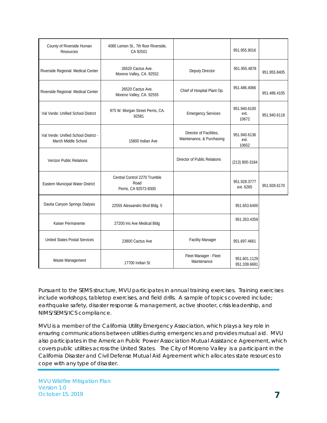| County of Riverside Human<br><b>Resources</b>               | 4080 Lemon St., 7th floor Riverside,<br>CA 92501              |                                                      | 951.955.9016                  |              |
|-------------------------------------------------------------|---------------------------------------------------------------|------------------------------------------------------|-------------------------------|--------------|
| Riverside Regional: Medical Center                          | 26520 Cactus Ave.<br>Moreno Valley, CA. 92552                 | Deputy Director                                      | 951.955.4878                  | 951.955.8405 |
| Riverside Regional: Medical Center                          | 26520 Cactus Ave.<br>Moreno Valley, CA. 92555                 | Chief of Hospital Plant Op.                          | 951.486.4066                  | 951.486.4105 |
| Val Verde: Unified School District                          | 975 W. Morgan Street Perris, CA.<br>92581                     | <b>Emergency Services</b>                            | 951.940.6100<br>ext.<br>10672 | 951.940.6118 |
| Val Verde: Unified School District -<br>March Middle School | 15800 Indian Ave                                              | Director of Facilities,<br>Maintenance, & Purchasing | 951.940.6136<br>ext.<br>10652 |              |
| <b>Verizon Public Relations</b>                             |                                                               | <b>Director of Public Relations</b>                  | (213) 800-3184                |              |
| Eastern Municipal Water District                            | Central Control 2270 Trumble<br>Road<br>Perris, CA 92572-8300 |                                                      | 951.928.3777<br>ext. 6265     | 951.928.6170 |
| Davita Canyon Springs Dialysis                              | 22555 Alessandro Blvd Bldg. 5                                 |                                                      | 951.653.6400                  |              |
| Kaiser Permanente                                           | 27200 Iris Ave Medical Bldg                                   |                                                      | 951.353.4359                  |              |
| <b>United States Postal Services</b>                        | 23800 Cactus Ave                                              | <b>Facility Manager</b>                              | 951.697.4661                  |              |
| Waste Management                                            | 17700 Indian St                                               | Fleet Manager - Fleet<br>Maintenance                 | 951.601.1129<br>951.339.6681  |              |

Pursuant to the SEMS structure, MVU participates in annual training exercises. Training exercises include workshops, tabletop exercises, and field drills. A sample of topics covered include; earthquake safety, disaster response & management, active shooter, crisis leadership, and NIMS/SEMS/ICS compliance.

MVU is a member of the California Utility Emergency Association, which plays a key role in ensuring communications between utilities during emergencies and provides mutual aid. MVU also participates in the American Public Power Association Mutual Assistance Agreement, which covers public utilities across the United States. The City of Moreno Valley is a participant in the California Disaster and Civil Defense Mutual Aid Agreement which allocates state resources to cope with any type of disaster.

MVU Wildfire Mitigation Plan Version 1.0 October 15, 2019 **7**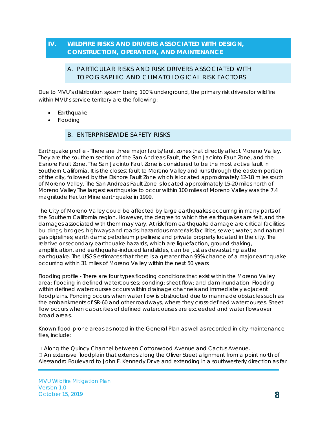# <span id="page-11-1"></span><span id="page-11-0"></span>**IV. WILDFIRE RISKS AND DRIVERS ASSOCIATED WITH DESIGN, CONSTRUCTION, OPERATION, AND MAINTENANCE**

#### A. PARTICULAR RISKS AND RISK DRIVERS ASSOCIATED WITH TOPOGRAPHIC AND CLIMATOLOGICAL RISK FACTORS

Due to MVU's distribution system being 100% underground, the primary risk drivers for wildfire within MVU's service territory are the following:

- Earthquake
- <span id="page-11-2"></span>• Flooding

#### B. ENTERPRISEWIDE SAFETY RISKS

Earthquake profile - There are three major faults/fault zones that directly affect Moreno Valley. They are the southern section of the San Andreas Fault, the San Jacinto Fault Zone, and the Elsinore Fault Zone. The San Jacinto Fault Zone is considered to be the most active fault in Southern California. It is the closest fault to Moreno Valley and runs through the eastern portion of the city, followed by the Elsinore Fault Zone which is located approximately 12-18 miles south of Moreno Valley. The San Andreas Fault Zone is located approximately 15-20 miles north of Moreno Valley The largest earthquake to occur within 100 miles of Moreno Valley was the 7.4 magnitude Hector Mine earthquake in 1999.

The City of Moreno Valley could be affected by large earthquakes occurring in many parts of the Southern California region. However, the degree to which the earthquakes are felt, and the damages associated with them may vary. At risk from earthquake damage are critical facilities, buildings, bridges, highways and roads; hazardous materials facilities; sewer, water, and natural gas pipelines; earth dams; petroleum pipelines; and private property located in the city. The relative or secondary earthquake hazards, which are liquefaction, ground shaking, amplification, and earthquake-induced landslides, can be just as devastating as the earthquake. The USGS estimates that there is a greater than 99% chance of a major earthquake occurring within 31 miles of Moreno Valley within the next 50 years

Flooding profile - There are four types flooding conditions that exist within the Moreno Valley area: flooding in defined watercourses; ponding; sheet flow; and dam inundation. Flooding within defined watercourses occurs within drainage channels and immediately adjacent floodplains. Ponding occurs when water flow is obstructed due to manmade obstacles such as the embankments of SR-60 and other roadways, where they cross-defined watercourses. Sheet flow occurs when capacities of defined watercourses are exceeded and water flows over broad areas.

Known flood-prone areas as noted in the General Plan as well as recorded in city maintenance files, include:

 Along the Quincy Channel between Cottonwood Avenue and Cactus Avenue. An extensive floodplain that extends along the Oliver Street alignment from a point north of Alessandro Boulevard to John F. Kennedy Drive and extending in a southwesterly direction as far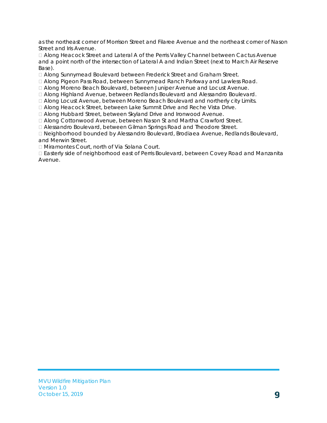as the northeast corner of Morrison Street and Filaree Avenue and the northeast corner of Nason Street and Iris Avenue.

 Along Heacock Street and Lateral A of the Perris Valley Channel between Cactus Avenue and a point north of the intersection of Lateral A and Indian Street (next to March Air Reserve Base).

Along Sunnymead Boulevard between Frederick Street and Graham Street.

Along Pigeon Pass Road, between Sunnymead Ranch Parkway and Lawless Road.

Along Moreno Beach Boulevard, between Juniper Avenue and Locust Avenue.

Along Highland Avenue, between Redlands Boulevard and Alessandro Boulevard.

Along Locust Avenue, between Moreno Beach Boulevard and northerly city Limits.

□ Along Heacock Street, between Lake Summit Drive and Reche Vista Drive.

Along Hubbard Street, between Skyland Drive and Ironwood Avenue.

□ Along Cottonwood Avenue, between Nason St and Martha Crawford Street.

Alessandro Boulevard, between Gilman Springs Road and Theodore Street.

 Neighborhood bounded by Alessandro Boulevard, Brodiaea Avenue, Redlands Boulevard, and Merwin Street.

□ Miramontes Court, north of Via Solana Court.

 Easterly side of neighborhood east of Perris Boulevard, between Covey Road and Manzanita Avenue.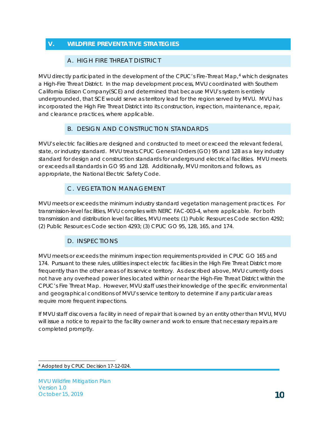# <span id="page-13-1"></span><span id="page-13-0"></span>**V. WILDFIRE PREVENTATIVE STRATEGIES**

#### A. HIGH FIRE THREAT DISTRICT

MVU directly participated in the development of the CPUC's Fire-Threat Map,<sup>[4](#page-13-5)</sup> which designates a High-Fire Threat District. In the map development process, MVU coordinated with Southern California Edison Company(SCE) and determined that because MVU's system is entirely undergrounded, that SCE would serve as territory lead for the region served by MVU. MVU has incorporated the High Fire Threat District into its construction, inspection, maintenance, repair, and clearance practices, where applicable.

# B. DESIGN AND CONSTRUCTION STANDARDS

<span id="page-13-2"></span>MVU's electric facilities are designed and constructed to meet or exceed the relevant federal, state, or industry standard. MVU treats CPUC General Orders (GO) 95 and 128 as a key industry standard for design and construction standards for underground electrical facilities. MVU meets or exceeds all standards in GO 95 and 128. Additionally, MVU monitors and follows, as appropriate, the National Electric Safety Code.

# C. VEGETATION MANAGEMENT

<span id="page-13-3"></span>MVU meets or exceeds the minimum industry standard vegetation management practices. For transmission-level facilities, MVU complies with NERC FAC-003-4, where applicable. For both transmission and distribution level facilities, MVU meets: (1) Public Resources Code section 4292; (2) Public Resources Code section 4293; (3) CPUC GO 95, 128, 165, and 174.

# D. INSPECTIONS

<span id="page-13-4"></span>MVU meets or exceeds the minimum inspection requirements provided in CPUC GO 165 and 174. Pursuant to these rules, utilities inspect electric facilities in the High Fire Threat District more frequently than the other areas of its service territory. As described above, MVU currently does not have any overhead power lines located within or near the High-Fire Threat District within the CPUC's Fire Threat Map. However, MVU staff uses their knowledge of the specific environmental and geographical conditions of MVU's service territory to determine if any particular areas require more frequent inspections.

If MVU staff discovers a facility in need of repair that is owned by an entity other than MVU, MVU will issue a notice to repair to the facility owner and work to ensure that necessary repairs are completed promptly.

<span id="page-13-5"></span> <sup>4</sup> Adopted by CPUC Decision 17-12-024.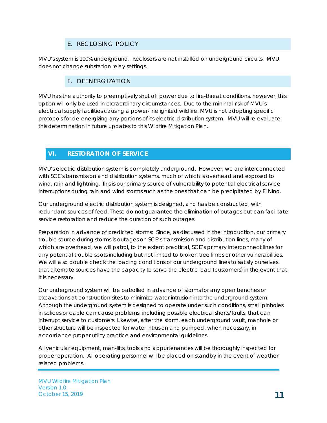# E. RECLOSING POLICY

<span id="page-14-0"></span>MVU's system is 100% underground. Reclosers are not installed on underground circuits. MVU does not change substation relay settings.

# F. DEENERGIZATION

<span id="page-14-1"></span>MVU has the authority to preemptively shut off power due to fire-threat conditions, however, this option will only be used in extraordinary circumstances. Due to the minimal risk of MVU's electrical supply facilities causing a power-line ignited wildfire, MVU is not adopting specific protocols for de-energizing any portions of its electric distribution system. MVU will re-evaluate this determination in future updates to this Wildfire Mitigation Plan.

#### <span id="page-14-2"></span>**VI. RESTORATION OF SERVICE**

MVU's electric distribution system is completely underground. However, we are interconnected with SCE's transmission and distribution systems, much of which is overhead and exposed to wind, rain and lightning. This is our primary source of vulnerability to potential electrical service interruptions during rain and wind storms such as the ones that can be precipitated by El Nino.

Our underground electric distribution system is designed, and has be constructed, with redundant sources of feed. These do not guarantee the elimination of outages but can facilitate service restoration and reduce the duration of such outages.

Preparation in advance of predicted storms: Since, as discussed in the introduction, our primary trouble source during storms is outages on SCE's transmission and distribution lines, many of which are overhead, we will patrol, to the extent practical, SCE's primary interconnect lines for any potential trouble spots including but not limited to broken tree limbs or other vulnerabilities. We will also double check the loading conditions of our underground lines to satisfy ourselves that alternate sources have the capacity to serve the electric load (customers) in the event that it is necessary.

Our underground system will be patrolled in advance of storms for any open trenches or excavations at construction sites to minimize water intrusion into the underground system. Although the underground system is designed to operate under such conditions, small pinholes in splices or cable can cause problems, including possible electrical shorts/faults, that can interrupt service to customers. Likewise, after the storm, each underground vault, manhole or other structure will be inspected for water intrusion and pumped, when necessary, in accordance proper utility practice and environmental guidelines.

All vehicular equipment, man-lifts, tools and appurtenances will be thoroughly inspected for proper operation. All operating personnel will be placed on standby in the event of weather related problems.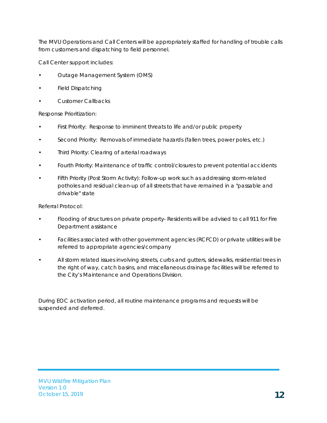The MVU Operations and Call Centers will be appropriately staffed for handling of trouble calls from customers and dispatching to field personnel.

Call Center support includes:

- Outage Management System (OMS)
- **Field Dispatching**
- Customer Callbacks

Response Prioritization:

- First Priority: Response to imminent threats to life and/or public property
- Second Priority: Removals of immediate hazards (fallen trees, power poles, etc.)
- Third Priority: Clearing of arterial roadways
- Fourth Priority: Maintenance of traffic control/closures to prevent potential accidents
- Fifth Priority (Post Storm Activity): Follow-up work such as addressing storm-related potholes and residual clean-up of all streets that have remained in a "passable and drivable" state

Referral Protocol:

- Flooding of structures on private property- Residents will be advised to call 911 for Fire Department assistance
- Facilities associated with other government agencies (RCFCD) or private utilities will be referred to appropriate agencies/company
- All storm related issues involving streets, curbs and gutters, sidewalks, residential trees in the right of way, catch basins, and miscellaneous drainage facilities will be referred to the City's Maintenance and Operations Division.

During EOC activation period, all routine maintenance programs and requests will be suspended and deferred.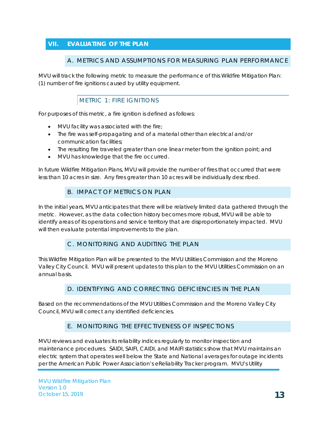# <span id="page-16-1"></span><span id="page-16-0"></span>**VII. EVALUATING OF THE PLAN**

#### A. METRICS AND ASSUMPTIONS FOR MEASURING PLAN PERFORMANCE

MVU will track the following metric to measure the performance of this Wildfire Mitigation Plan: (1) number of fire ignitions caused by utility equipment.

# METRIC 1: FIRE IGNITIONS

<span id="page-16-2"></span>For purposes of this metric, a fire ignition is defined as follows:

- MVU facility was associated with the fire;
- The fire was self-propagating and of a material other than electrical and/or communication facilities;
- The resulting fire traveled greater than one linear meter from the ignition point; and
- MVU has knowledge that the fire occurred.

In future Wildfire Mitigation Plans, MVU will provide the number of fires that occurred that were less than 10 acres in size. Any fires greater than 10 acres will be individually described.

#### B. IMPACT OF METRICS ON PLAN

<span id="page-16-3"></span>In the initial years, MVU anticipates that there will be relatively limited data gathered through the metric. However, as the data collection history becomes more robust, MVU will be able to identify areas of its operations and service territory that are disproportionately impacted. MVU will then evaluate potential improvements to the plan.

#### C. MONITORING AND AUDITING THE PLAN

<span id="page-16-4"></span>This Wildfire Mitigation Plan will be presented to the MVU Utilities Commission and the Moreno Valley City Council. MVU will present updates to this plan to the MVU Utilities Commission on an annual basis.

# D. IDENTIFYING AND CORRECTING DEFICIENCIES IN THE PLAN

<span id="page-16-5"></span>Based on the recommendations of the MVU Utilities Commission and the Moreno Valley City Council, MVU will correct any identified deficiencies.

#### E. MONITORING THE EFFECTIVENESS OF INSPECTIONS

<span id="page-16-6"></span>MVU reviews and evaluates its reliability indices regularly to monitor inspection and maintenance procedures. SAIDI, SAIFI, CAIDI, and MAIFI statistics show that MVU maintains an electric system that operates well below the State and National averages for outage incidents per the American Public Power Association's eReliability Tracker program. MVU's Utility